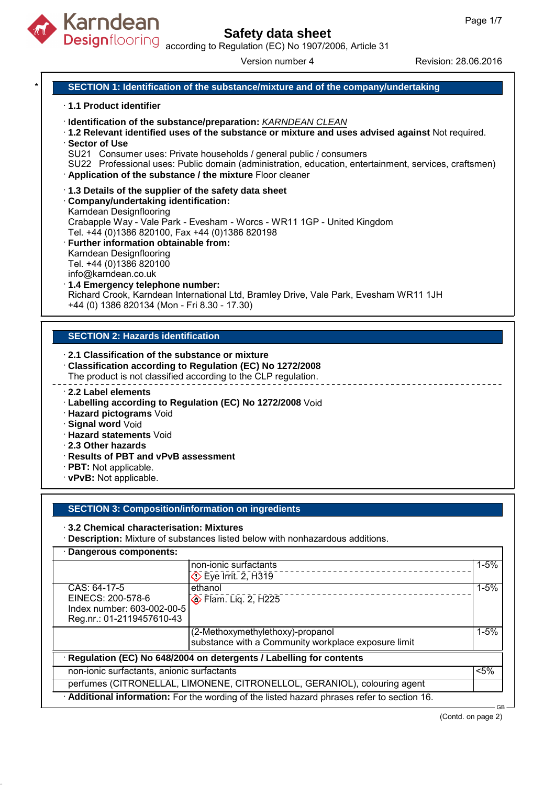

Designflooring according to Regulation (EC) No 1907/2006, Article 31

Version number 4 Revision: 28.06.2016

### **SECTION 1: Identification of the substance/mixture and of the company/undertaking**

#### · **1.1 Product identifier**

- · **Identification of the substance/preparation:** KARNDEAN CLEAN
- · **1.2 Relevant identified uses of the substance or mixture and uses advised against** Not required. · **Sector of Use**
- SU21 Consumer uses: Private households / general public / consumers
- SU22 Professional uses: Public domain (administration, education, entertainment, services, craftsmen) · **Application of the substance / the mixture** Floor cleaner
- · **1.3 Details of the supplier of the safety data sheet**

### · **Company/undertaking identification:**

#### Karndean Designflooring

Crabapple Way - Vale Park - Evesham - Worcs - WR11 1GP - United Kingdom Tel. +44 (0)1386 820100, Fax +44 (0)1386 820198

· **Further information obtainable from:** Karndean Designflooring Tel. +44 (0)1386 820100

info@karndean.co.uk

# · **1.4 Emergency telephone number:**

Richard Crook, Karndean International Ltd, Bramley Drive, Vale Park, Evesham WR11 1JH +44 (0) 1386 820134 (Mon - Fri 8.30 - 17.30)

#### **SECTION 2: Hazards identification**

#### · **2.1 Classification of the substance or mixture**

- · **Classification according to Regulation (EC) No 1272/2008**
- The product is not classified according to the CLP regulation.
- · **2.2 Label elements**
- · **Labelling according to Regulation (EC) No 1272/2008** Void
- · **Hazard pictograms** Void
- · **Signal word** Void
- · **Hazard statements** Void
- · **2.3 Other hazards**
- · **Results of PBT and vPvB assessment**
- · **PBT:** Not applicable.
- · **vPvB:** Not applicable.

#### **SECTION 3: Composition/information on ingredients**

#### · **3.2 Chemical characterisation: Mixtures**

· **Description:** Mixture of substances listed below with nonhazardous additions.

### · **Dangerous components:**

|                                                                                           | non-ionic surfactants                               | $1 - 5%$ |  |  |  |
|-------------------------------------------------------------------------------------------|-----------------------------------------------------|----------|--|--|--|
|                                                                                           | $\diamondsuit$ Eye Irrit. 2, H319                   |          |  |  |  |
| CAS: 64-17-5                                                                              | ethanol                                             | $1 - 5%$ |  |  |  |
| EINECS: 200-578-6                                                                         | <b>♦ Flam. Lig. 2, H225</b>                         |          |  |  |  |
| Index number: 603-002-00-5                                                                |                                                     |          |  |  |  |
| Reg.nr.: 01-2119457610-43                                                                 |                                                     |          |  |  |  |
|                                                                                           | (2-Methoxymethylethoxy)-propanol                    | $1 - 5%$ |  |  |  |
|                                                                                           | substance with a Community workplace exposure limit |          |  |  |  |
| Regulation (EC) No 648/2004 on detergents / Labelling for contents                        |                                                     |          |  |  |  |
| non-ionic surfactants, anionic surfactants                                                |                                                     | $< 5\%$  |  |  |  |
| perfumes (CITRONELLAL, LIMONENE, CITRONELLOL, GERANIOL), colouring agent                  |                                                     |          |  |  |  |
| Additional information: For the wording of the listed hazard phrases refer to section 16. |                                                     |          |  |  |  |

GB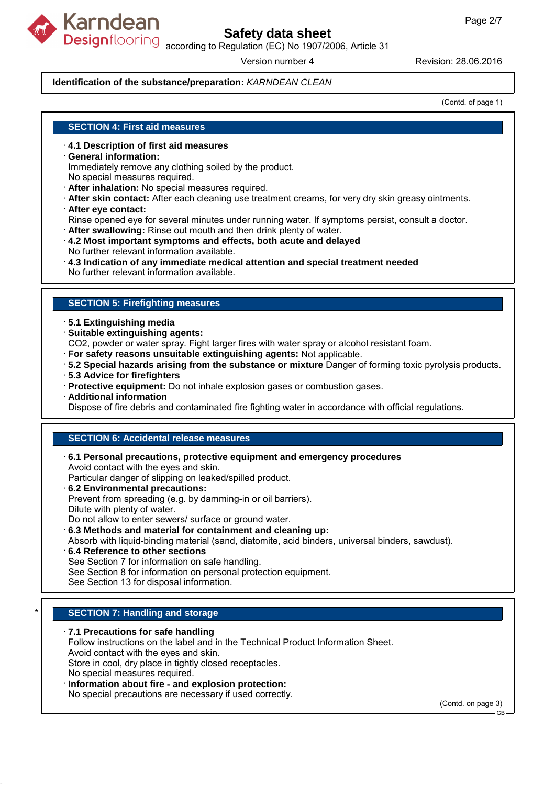

Designflooring according to Regulation (EC) No 1907/2006, Article 31

Version number 4 Revision: 28.06.2016

### **Identification of the substance/preparation:** KARNDEAN CLEAN

(Contd. of page 1)

### **SECTION 4: First aid measures**

- · **4.1 Description of first aid measures**
- · **General information:**

Immediately remove any clothing soiled by the product.

No special measures required.

- · **After inhalation:** No special measures required.
- · **After skin contact:** After each cleaning use treatment creams, for very dry skin greasy ointments.
- · **After eye contact:**
- Rinse opened eye for several minutes under running water. If symptoms persist, consult a doctor.
- · **After swallowing:** Rinse out mouth and then drink plenty of water.
- · **4.2 Most important symptoms and effects, both acute and delayed**
- No further relevant information available.
- · **4.3 Indication of any immediate medical attention and special treatment needed**

No further relevant information available.

#### **SECTION 5: Firefighting measures**

#### · **5.1 Extinguishing media**

- · **Suitable extinguishing agents:**
- CO2, powder or water spray. Fight larger fires with water spray or alcohol resistant foam.
- · **For safety reasons unsuitable extinguishing agents:** Not applicable.
- · **5.2 Special hazards arising from the substance or mixture** Danger of forming toxic pyrolysis products.
- · **5.3 Advice for firefighters**
- · **Protective equipment:** Do not inhale explosion gases or combustion gases.
- · **Additional information**

Dispose of fire debris and contaminated fire fighting water in accordance with official regulations.

### **SECTION 6: Accidental release measures**

- · **6.1 Personal precautions, protective equipment and emergency procedures** Avoid contact with the eyes and skin.
- Particular danger of slipping on leaked/spilled product.
- · **6.2 Environmental precautions:**
- Prevent from spreading (e.g. by damming-in or oil barriers).
- Dilute with plenty of water.
- Do not allow to enter sewers/ surface or ground water.
- · **6.3 Methods and material for containment and cleaning up:**
- Absorb with liquid-binding material (sand, diatomite, acid binders, universal binders, sawdust).
- · **6.4 Reference to other sections**
- See Section 7 for information on safe handling.
- See Section 8 for information on personal protection equipment.
- See Section 13 for disposal information.

### **SECTION 7: Handling and storage**

#### · **7.1 Precautions for safe handling**

Follow instructions on the label and in the Technical Product Information Sheet.

Avoid contact with the eyes and skin. Store in cool, dry place in tightly closed receptacles.

No special measures required.

## · **Information about fire - and explosion protection:**

No special precautions are necessary if used correctly.

(Contd. on page 3)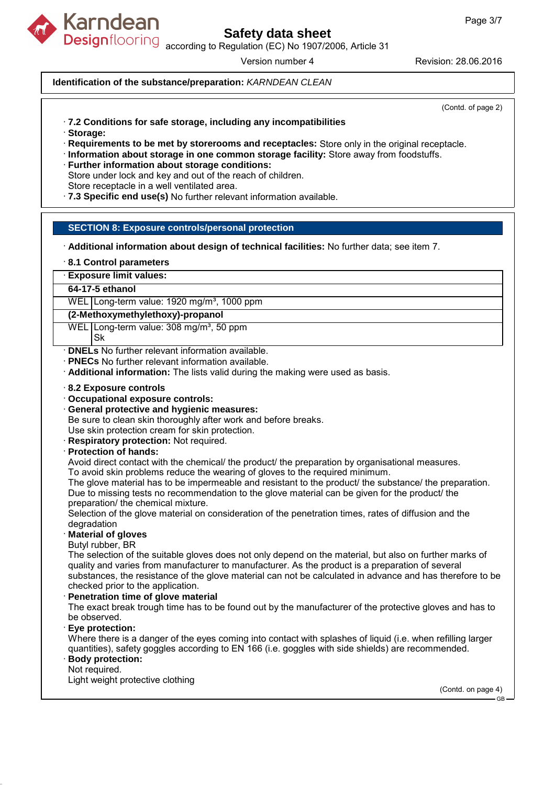

Designflooring according to Regulation (EC) No 1907/2006, Article 31

Version number 4 Revision: 28.06.2016

### **Identification of the substance/preparation:** KARNDEAN CLEAN

(Contd. of page 2)

- · **7.2 Conditions for safe storage, including any incompatibilities**
- · **Storage:**
- · **Requirements to be met by storerooms and receptacles:** Store only in the original receptacle.
- · **Information about storage in one common storage facility:** Store away from foodstuffs.
- · **Further information about storage conditions:**
- Store under lock and key and out of the reach of children.

Store receptacle in a well ventilated area.

· **7.3 Specific end use(s)** No further relevant information available.

### **SECTION 8: Exposure controls/personal protection**

- · **Additional information about design of technical facilities:** No further data; see item 7.
- · **8.1 Control parameters**
- · **Exposure limit values:**

#### **64-17-5 ethanol**

WEL Long-term value: 1920 mg/m<sup>3</sup>, 1000 ppm

#### **(2-Methoxymethylethoxy)-propanol**

- WEL Long-term value:  $308 \text{ mg/m}^3$ , 50 ppm Sk
- 
- · **DNELs** No further relevant information available.
- · **PNECs** No further relevant information available.
- · **Additional information:** The lists valid during the making were used as basis.

#### · **8.2 Exposure controls**

- · **Occupational exposure controls:**
- · **General protective and hygienic measures:**
- Be sure to clean skin thoroughly after work and before breaks.

Use skin protection cream for skin protection.

· **Respiratory protection:** Not required.

#### · **Protection of hands:**

Avoid direct contact with the chemical/ the product/ the preparation by organisational measures. To avoid skin problems reduce the wearing of gloves to the required minimum.

The glove material has to be impermeable and resistant to the product/ the substance/ the preparation. Due to missing tests no recommendation to the glove material can be given for the product/ the preparation/ the chemical mixture.

Selection of the glove material on consideration of the penetration times, rates of diffusion and the degradation

#### · **Material of gloves**

Butyl rubber, BR

The selection of the suitable gloves does not only depend on the material, but also on further marks of quality and varies from manufacturer to manufacturer. As the product is a preparation of several substances, the resistance of the glove material can not be calculated in advance and has therefore to be checked prior to the application.

#### · **Penetration time of glove material**

The exact break trough time has to be found out by the manufacturer of the protective gloves and has to be observed.

· **Eye protection:**

Where there is a danger of the eyes coming into contact with splashes of liquid (i.e. when refilling larger quantities), safety goggles according to EN 166 (i.e. goggles with side shields) are recommended.

#### · **Body protection:** Not required.

Light weight protective clothing

(Contd. on page 4) GB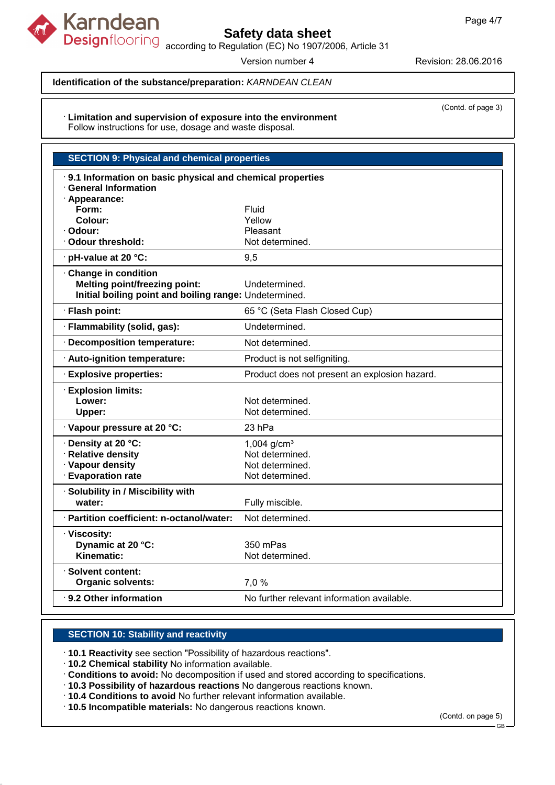

according to Regulation (EC) No 1907/2006, Article 31

Version number 4 Revision: 28.06.2016

## **Identification of the substance/preparation:** KARNDEAN CLEAN

· **Limitation and supervision of exposure into the environment** Follow instructions for use, dosage and waste disposal.

| <b>SECTION 9: Physical and chemical properties</b>     |                                                           |  |  |  |
|--------------------------------------------------------|-----------------------------------------------------------|--|--|--|
| <b>General Information</b>                             | 9.1 Information on basic physical and chemical properties |  |  |  |
| · Appearance:                                          |                                                           |  |  |  |
| Form:                                                  | Fluid                                                     |  |  |  |
| Colour:                                                | Yellow                                                    |  |  |  |
| Odour:                                                 | Pleasant                                                  |  |  |  |
| Odour threshold:                                       | Not determined.                                           |  |  |  |
| · pH-value at 20 °C:                                   | 9,5                                                       |  |  |  |
| Change in condition                                    |                                                           |  |  |  |
| <b>Melting point/freezing point:</b>                   | Undetermined.                                             |  |  |  |
| Initial boiling point and boiling range: Undetermined. |                                                           |  |  |  |
| · Flash point:                                         | 65 °C (Seta Flash Closed Cup)                             |  |  |  |
| · Flammability (solid, gas):                           | Undetermined.                                             |  |  |  |
| Decomposition temperature:                             | Not determined.                                           |  |  |  |
| Auto-ignition temperature:                             | Product is not selfigniting.                              |  |  |  |
| <b>Explosive properties:</b>                           | Product does not present an explosion hazard.             |  |  |  |
| <b>Explosion limits:</b>                               |                                                           |  |  |  |
| Lower:                                                 | Not determined.                                           |  |  |  |
| Upper:                                                 | Not determined.                                           |  |  |  |
| Vapour pressure at 20 °C:                              | 23 hPa                                                    |  |  |  |
| Density at 20 °C:                                      | $1,004$ g/cm <sup>3</sup>                                 |  |  |  |
| · Relative density                                     | Not determined.                                           |  |  |  |
| · Vapour density                                       | Not determined.                                           |  |  |  |
| <b>Evaporation rate</b>                                | Not determined.                                           |  |  |  |
| Solubility in / Miscibility with                       |                                                           |  |  |  |
| water:                                                 | Fully miscible.                                           |  |  |  |
| · Partition coefficient: n-octanol/water:              | Not determined.                                           |  |  |  |
| · Viscosity:                                           |                                                           |  |  |  |
| Dynamic at 20 °C:                                      | 350 mPas                                                  |  |  |  |
| Kinematic:                                             | Not determined.                                           |  |  |  |
| $\cdot$ Solvent content:                               |                                                           |  |  |  |
| <b>Organic solvents:</b>                               | 7,0 %                                                     |  |  |  |
| 9.2 Other information                                  | No further relevant information available.                |  |  |  |

## **SECTION 10: Stability and reactivity**

· **10.1 Reactivity** see section "Possibility of hazardous reactions".

· **10.2 Chemical stability** No information available.

· **Conditions to avoid:** No decomposition if used and stored according to specifications.

· **10.3 Possibility of hazardous reactions** No dangerous reactions known.

· **10.4 Conditions to avoid** No further relevant information available.

· **10.5 Incompatible materials:** No dangerous reactions known.

(Contd. on page 5)

(Contd. of page 3)

GB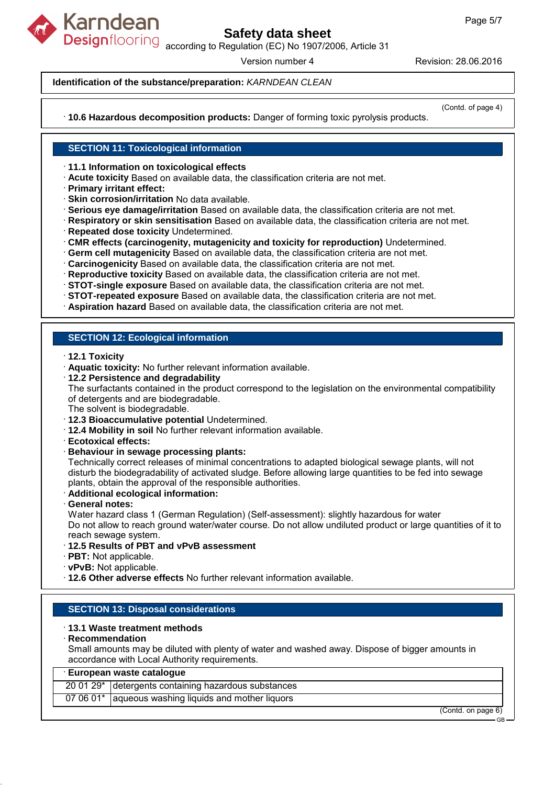

Designflooring according to Regulation (EC) No 1907/2006, Article 31

Version number 4 Revision: 28.06.2016

## **Identification of the substance/preparation:** KARNDEAN CLEAN

(Contd. of page 4)

· **10.6 Hazardous decomposition products:** Danger of forming toxic pyrolysis products.

## **SECTION 11: Toxicological information**

· **11.1 Information on toxicological effects**

- · **Acute toxicity** Based on available data, the classification criteria are not met.
- · **Primary irritant effect:**
- · **Skin corrosion/irritation** No data available.
- · **Serious eye damage/irritation** Based on available data, the classification criteria are not met.
- · **Respiratory or skin sensitisation** Based on available data, the classification criteria are not met.
- · **Repeated dose toxicity** Undetermined.
- · **CMR effects (carcinogenity, mutagenicity and toxicity for reproduction)** Undetermined.
- · **Germ cell mutagenicity** Based on available data, the classification criteria are not met.
- · **Carcinogenicity** Based on available data, the classification criteria are not met.
- · **Reproductive toxicity** Based on available data, the classification criteria are not met.
- · **STOT-single exposure** Based on available data, the classification criteria are not met.
- · **STOT-repeated exposure** Based on available data, the classification criteria are not met.
- · **Aspiration hazard** Based on available data, the classification criteria are not met.

## **SECTION 12: Ecological information**

- · **12.1 Toxicity**
- · **Aquatic toxicity:** No further relevant information available.
- · **12.2 Persistence and degradability**

The surfactants contained in the product correspond to the legislation on the environmental compatibility of detergents and are biodegradable.

The solvent is biodegradable.

- · **12.3 Bioaccumulative potential** Undetermined.
- · **12.4 Mobility in soil** No further relevant information available.
- · **Ecotoxical effects:**
- · **Behaviour in sewage processing plants:**

Technically correct releases of minimal concentrations to adapted biological sewage plants, will not disturb the biodegradability of activated sludge. Before allowing large quantities to be fed into sewage plants, obtain the approval of the responsible authorities.

- · **Additional ecological information:**
- · **General notes:**

Water hazard class 1 (German Regulation) (Self-assessment): slightly hazardous for water Do not allow to reach ground water/water course. Do not allow undiluted product or large quantities of it to reach sewage system.

- · **12.5 Results of PBT and vPvB assessment**
- · **PBT:** Not applicable.
- · **vPvB:** Not applicable.
- · **12.6 Other adverse effects** No further relevant information available.

#### **SECTION 13: Disposal considerations**

#### · **13.1 Waste treatment methods**

#### · **Recommendation**

Small amounts may be diluted with plenty of water and washed away. Dispose of bigger amounts in accordance with Local Authority requirements.

### · **European waste catalogue**

|  | 20 01 29* detergents containing hazardous substances |                          |
|--|------------------------------------------------------|--------------------------|
|  | 07 06 01* aqueous washing liquids and mother liquors |                          |
|  |                                                      | $(C_{n}$ ntd on nage $6$ |

(Contd. on page 6)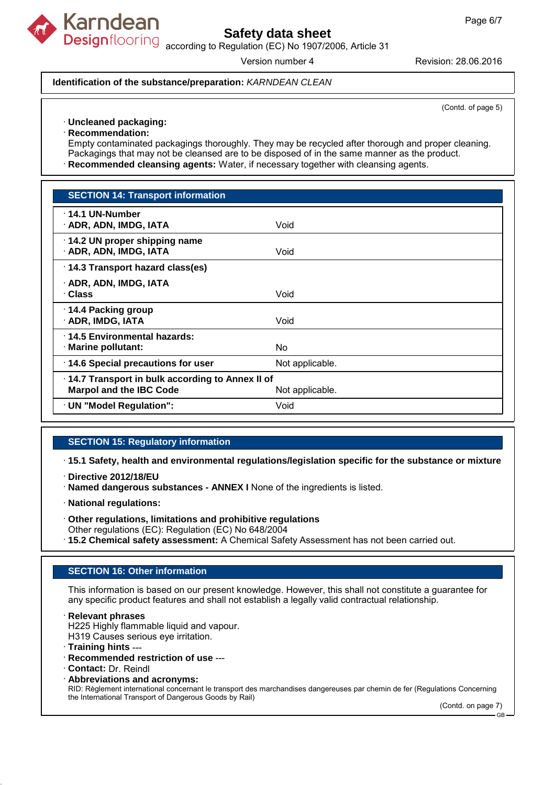

Designflooring according to Regulation (EC) No 1907/2006, Article 31

Version number 4 Revision: 28.06.2016

#### **Identification of the substance/preparation:** KARNDEAN CLEAN

(Contd. of page 5)

#### · **Uncleaned packaging:**

· **Recommendation:**

Empty contaminated packagings thoroughly. They may be recycled after thorough and proper cleaning. Packagings that may not be cleansed are to be disposed of in the same manner as the product.

· **Recommended cleansing agents:** Water, if necessary together with cleansing agents.

| <b>SECTION 14: Transport information</b>                                          |                 |
|-----------------------------------------------------------------------------------|-----------------|
| · 14.1 UN-Number<br>· ADR, ADN, IMDG, IATA                                        | Void            |
| 14.2 UN proper shipping name<br>· ADR, ADN, IMDG, IATA                            | Void            |
| 14.3 Transport hazard class(es)                                                   |                 |
| · ADR, ADN, IMDG, IATA<br>∴Class                                                  | Void            |
| 14.4 Packing group<br>· ADR, IMDG, IATA                                           | Void            |
| 14.5 Environmental hazards:<br>· Marine pollutant:                                | No              |
| 14.6 Special precautions for user                                                 | Not applicable. |
| 14.7 Transport in bulk according to Annex II of<br><b>Marpol and the IBC Code</b> | Not applicable. |
| · UN "Model Regulation":                                                          | Void            |

#### **SECTION 15: Regulatory information**

· **15.1 Safety, health and environmental regulations/legislation specific for the substance or mixture**

- · **Directive 2012/18/EU**
- · **Named dangerous substances ANNEX I** None of the ingredients is listed.
- · **National regulations:**
- · **Other regulations, limitations and prohibitive regulations**

Other regulations (EC): Regulation (EC) No 648/2004

· **15.2 Chemical safety assessment:** A Chemical Safety Assessment has not been carried out.

#### **SECTION 16: Other information**

This information is based on our present knowledge. However, this shall not constitute a guarantee for any specific product features and shall not establish a legally valid contractual relationship.

· **Relevant phrases**

H225 Highly flammable liquid and vapour.

H319 Causes serious eye irritation.

· **Training hints** ---

- · **Recommended restriction of use** ---
- · **Contact:** Dr. Reindl
- · **Abbreviations and acronyms:**

RID: Règlement international concernant le transport des marchandises dangereuses par chemin de fer (Regulations Concerning the International Transport of Dangerous Goods by Rail)

(Contd. on page 7)

GB